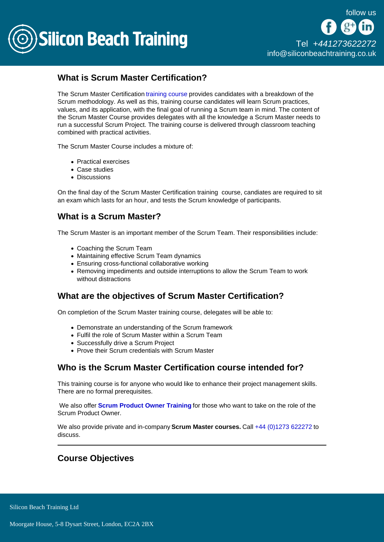

# What is Scrum Master Certification?

The Scrum Master Certification [training course](/scrum-training) provides candidates with a breakdown of the Scrum methodology. As well as this, training course candidates will learn Scrum practices, values, and its application, with the final goal of running a Scrum team in mind. The content of the Scrum Master Course provides delegates with all the knowledge a Scrum Master needs to run a successful Scrum Project. The training course is delivered through classroom teaching combined with practical activities.

The Scrum Master Course includes a mixture of:

- Practical exercises
- Case studies
- Discussions

On the final day of the Scrum Master Certification training course, candiates are required to sit an exam which lasts for an hour, and tests the Scrum knowledge of participants.

## What is a Scrum Master?

The Scrum Master is an important member of the Scrum Team. Their responsibilities include:

- Coaching the Scrum Team
- Maintaining effective Scrum Team dynamics
- Ensuring cross-functional collaborative working
- Removing impediments and outside interruptions to allow the Scrum Team to work without distractions

## What are the objectives of Scrum Master Certification?

On completion of the Scrum Master training course, delegates will be able to:

- Demonstrate an understanding of the Scrum framework
- Fulfil the role of Scrum Master within a Scrum Team
- Successfully drive a Scrum Project
- Prove their Scrum credentials with Scrum Master

## Who is the Scrum Master Certification course intended for?

This training course is for anyone who would like to enhance their project management skills. There are no formal prerequisites.

We also offer [Scrum Product Owner Training](/scrum-training/scrum-product-owner-training) for those who want to take on the role of the Scrum Product Owner.

We also provide private and in-company Scrum Master courses. Call [+44 \(0\)1273 622272](tel:441273622272) to discuss.

## Course Objectives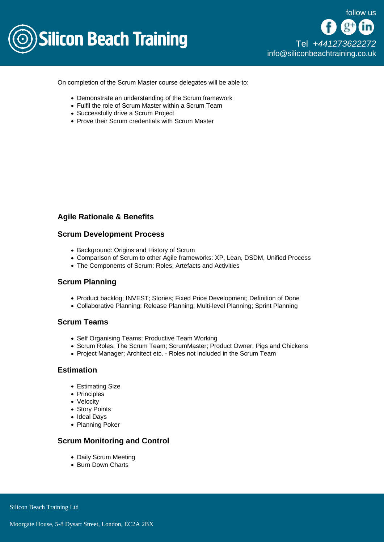

On completion of the Scrum Master course delegates will be able to:

- Demonstrate an understanding of the Scrum framework
- Fulfil the role of Scrum Master within a Scrum Team
- Successfully drive a Scrum Project
- Prove their Scrum credentials with Scrum Master

### Agile Rationale & Benefits

#### Scrum Development Process

- Background: Origins and History of Scrum
- Comparison of Scrum to other Agile frameworks: XP, Lean, DSDM, Unified Process
- The Components of Scrum: Roles, Artefacts and Activities

#### Scrum Planning

- Product backlog: INVEST: Stories: Fixed Price Development: Definition of Done
- Collaborative Planning; Release Planning; Multi-level Planning; Sprint Planning

#### Scrum Teams

- Self Organising Teams; Productive Team Working
- Scrum Roles: The Scrum Team; ScrumMaster; Product Owner; Pigs and Chickens
- Project Manager; Architect etc. Roles not included in the Scrum Team

#### **Estimation**

- Estimating Size
- Principles
- Velocity
- Story Points
- Ideal Days
- Planning Poker

#### Scrum Monitoring and Control

- Daily Scrum Meeting
- Burn Down Charts

Silicon Beach Training Ltd